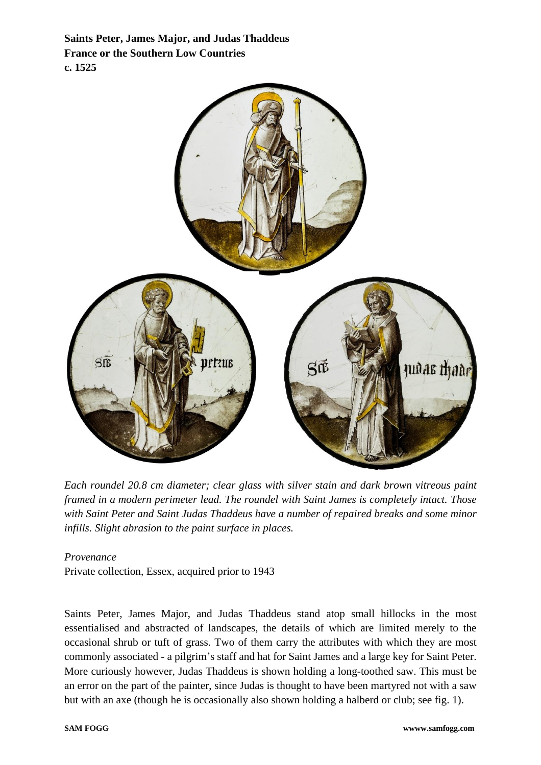**Saints Peter, James Major, and Judas Thaddeus France or the Southern Low Countries c. 1525**



*Each roundel 20.8 cm diameter; clear glass with silver stain and dark brown vitreous paint framed in a modern perimeter lead. The roundel with Saint James is completely intact. Those with Saint Peter and Saint Judas Thaddeus have a number of repaired breaks and some minor infills. Slight abrasion to the paint surface in places.*

*Provenance*

Private collection, Essex, acquired prior to 1943

Saints Peter, James Major, and Judas Thaddeus stand atop small hillocks in the most essentialised and abstracted of landscapes, the details of which are limited merely to the occasional shrub or tuft of grass. Two of them carry the attributes with which they are most commonly associated - a pilgrim's staff and hat for Saint James and a large key for Saint Peter. More curiously however, Judas Thaddeus is shown holding a long-toothed saw. This must be an error on the part of the painter, since Judas is thought to have been martyred not with a saw but with an axe (though he is occasionally also shown holding a halberd or club; see fig. 1).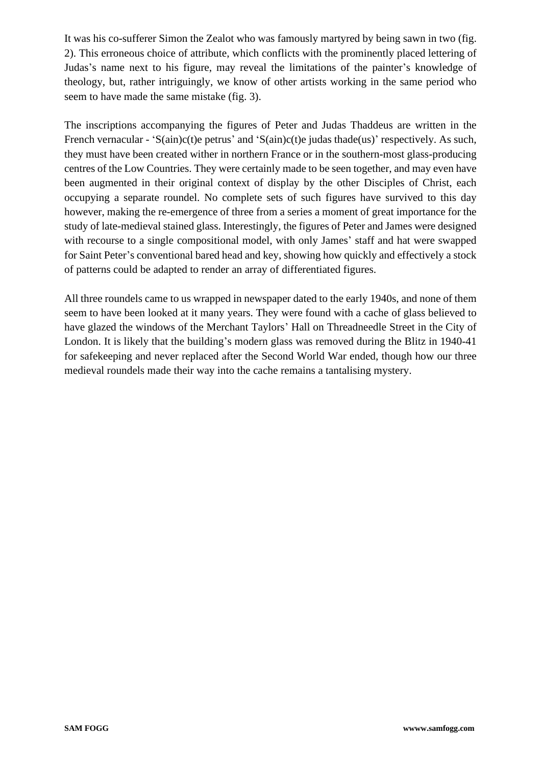It was his co-sufferer Simon the Zealot who was famously martyred by being sawn in two (fig. 2). This erroneous choice of attribute, which conflicts with the prominently placed lettering of Judas's name next to his figure, may reveal the limitations of the painter's knowledge of theology, but, rather intriguingly, we know of other artists working in the same period who seem to have made the same mistake (fig. 3).

The inscriptions accompanying the figures of Peter and Judas Thaddeus are written in the French vernacular - 'S(ain)c(t)e petrus' and 'S(ain)c(t)e judas thade(us)' respectively. As such, they must have been created wither in northern France or in the southern-most glass-producing centres of the Low Countries. They were certainly made to be seen together, and may even have been augmented in their original context of display by the other Disciples of Christ, each occupying a separate roundel. No complete sets of such figures have survived to this day however, making the re-emergence of three from a series a moment of great importance for the study of late-medieval stained glass. Interestingly, the figures of Peter and James were designed with recourse to a single compositional model, with only James' staff and hat were swapped for Saint Peter's conventional bared head and key, showing how quickly and effectively a stock of patterns could be adapted to render an array of differentiated figures.

All three roundels came to us wrapped in newspaper dated to the early 1940s, and none of them seem to have been looked at it many years. They were found with a cache of glass believed to have glazed the windows of the Merchant Taylors' Hall on Threadneedle Street in the City of London. It is likely that the building's modern glass was removed during the Blitz in 1940-41 for safekeeping and never replaced after the Second World War ended, though how our three medieval roundels made their way into the cache remains a tantalising mystery.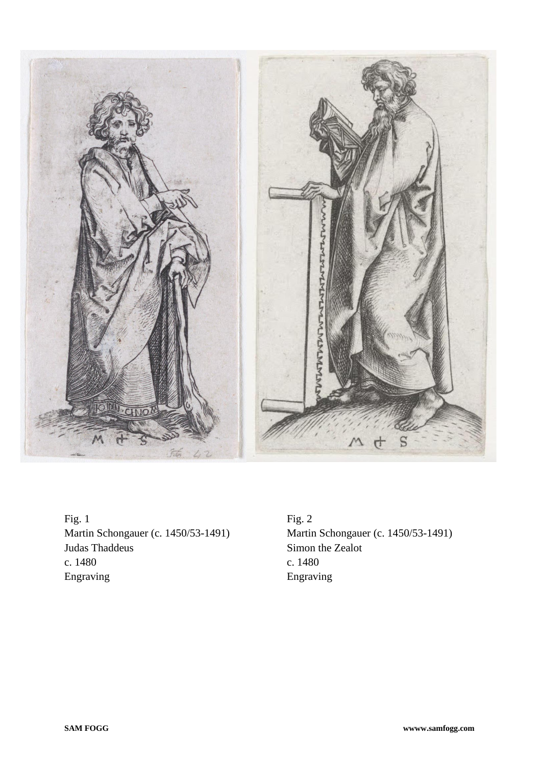

Fig. 1 Martin Schongauer (c. 1450/53-1491) Judas Thaddeus c. 1480 Engraving

Fig. 2 Martin Schongauer (c. 1450/53-1491) Simon the Zealot c. 1480 Engraving